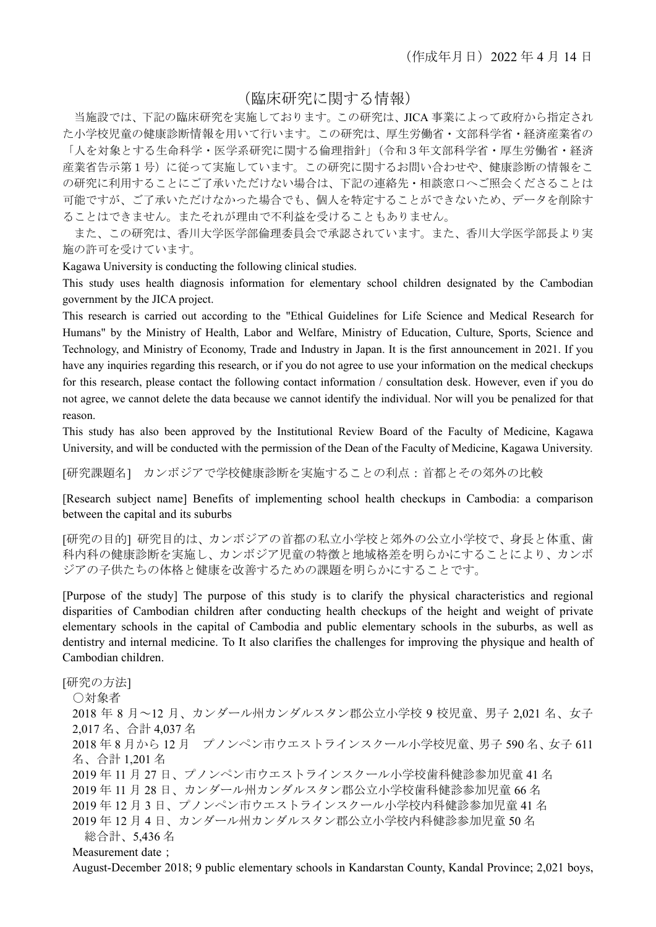## (臨床研究に関する情報)

当施設では、下記の臨床研究を実施しております。この研究は、JICA 事業によって政府から指定され た小学校児童の健康診断情報を用いて行います。この研究は、厚生労働省・文部科学省・経済産業省の 「人を対象とする生命科学・医学系研究に関する倫理指針」(令和3年文部科学省・厚生労働省・経済 産業省告示第1号)に従って実施しています。この研究に関するお問い合わせや、健康診断の情報をこ の研究に利用することにご了承いただけない場合は、下記の連絡先・相談窓口へご照会くださることは 可能ですが、ご了承いただけなかった場合でも、個人を特定することができないため、データを削除す ることはできません。またそれが理由で不利益を受けることもありません。

また、この研究は、香川大学医学部倫理委員会で承認されています。また、香川大学医学部長より実 施の許可を受けています。

Kagawa University is conducting the following clinical studies.

This study uses health diagnosis information for elementary school children designated by the Cambodian government by the JICA project.

This research is carried out according to the "Ethical Guidelines for Life Science and Medical Research for Humans" by the Ministry of Health, Labor and Welfare, Ministry of Education, Culture, Sports, Science and Technology, and Ministry of Economy, Trade and Industry in Japan. It is the first announcement in 2021. If you have any inquiries regarding this research, or if you do not agree to use your information on the medical checkups for this research, please contact the following contact information / consultation desk. However, even if you do not agree, we cannot delete the data because we cannot identify the individual. Nor will you be penalized for that reason.

This study has also been approved by the Institutional Review Board of the Faculty of Medicine, Kagawa University, and will be conducted with the permission of the Dean of the Faculty of Medicine, Kagawa University.

[研究課題名] カンボジアで学校健康診断を実施することの利点:首都とその郊外の比較

[Research subject name] Benefits of implementing school health checkups in Cambodia: a comparison between the capital and its suburbs

[研究の目的] 研究目的は、カンボジアの首都の私立小学校と郊外の公立小学校で、身長と体重、歯 科内科の健康診断を実施し、カンボジア児童の特徴と地域格差を明らかにすることにより、カンボ ジアの子供たちの体格と健康を改善するための課題を明らかにすることです。

[Purpose of the study] The purpose of this study is to clarify the physical characteristics and regional disparities of Cambodian children after conducting health checkups of the height and weight of private elementary schools in the capital of Cambodia and public elementary schools in the suburbs, as well as dentistry and internal medicine. To It also clarifies the challenges for improving the physique and health of Cambodian children.

```
[研究の方法] 
○対象者
2018 年 8 月~12 月、カンダール州カンダルスタン郡公立小学校 9 校児童、男子 2,021 名、女子
2,017 名、合計 4,037 名
2018 年 8 月から 12 月 プノンペン市ウエストラインスクール小学校児童、男子 590 名、女子 611
名、合計 1,201 名
2019 年 11 月 27 日、プノンペン市ウエストラインスクール小学校歯科健診参加児童 41 名
2019 年 11 月 28 日、カンダール州カンダルスタン郡公立小学校歯科健診参加児童 66 名
2019 年 12 月 3 日、プノンペン市ウエストラインスクール小学校内科健診参加児童 41 名
2019 年 12 月 4 日、カンダール州カンダルスタン郡公立小学校内科健診参加児童 50 名
  総合計、5,436 名
Measurement date :
August-December 2018; 9 public elementary schools in Kandarstan County, Kandal Province; 2,021 boys,
```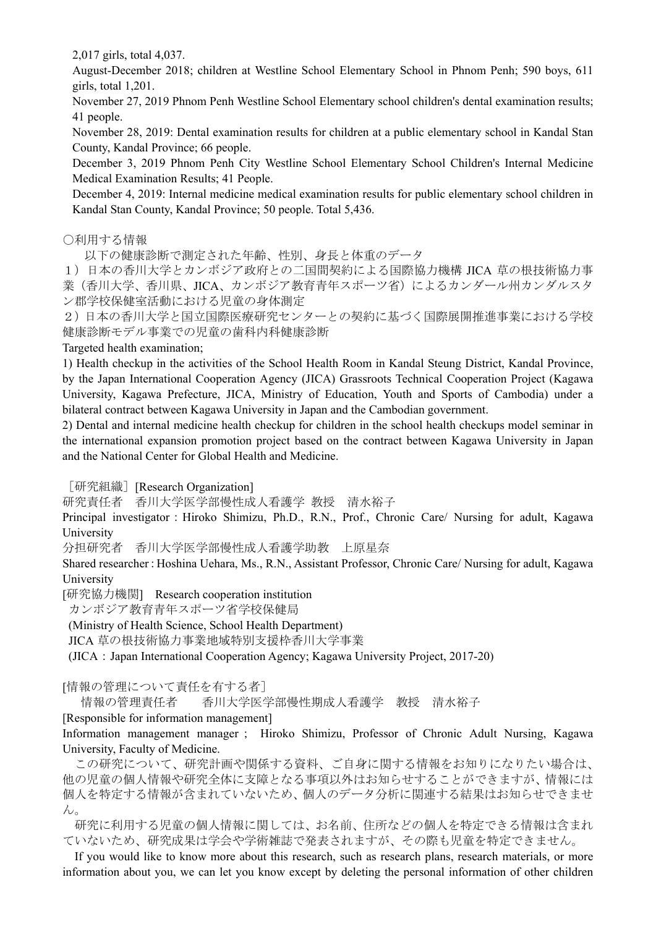2,017 girls, total 4,037.

August-December 2018; children at Westline School Elementary School in Phnom Penh; 590 boys, 611 girls, total 1,201.

November 27, 2019 Phnom Penh Westline School Elementary school children's dental examination results; 41 people.

November 28, 2019: Dental examination results for children at a public elementary school in Kandal Stan County, Kandal Province; 66 people.

December 3, 2019 Phnom Penh City Westline School Elementary School Children's Internal Medicine Medical Examination Results; 41 People.

December 4, 2019: Internal medicine medical examination results for public elementary school children in Kandal Stan County, Kandal Province; 50 people. Total 5,436.

○利用する情報

以下の健康診断で測定された年齢、性別、身長と体重のデータ

1)日本の香川大学とカンボジア政府との二国間契約による国際協力機構 JICA 草の根技術協力事 業(香川大学、香川県、JICA、カンボジア教育青年スポーツ省)によるカンダール州カンダルスタ ン郡学校保健室活動における児童の身体測定

2)日本の香川大学と国立国際医療研究センターとの契約に基づく国際展開推進事業における学校 健康診断モデル事業での児童の歯科内科健康診断

Targeted health examination;

1) Health checkup in the activities of the School Health Room in Kandal Steung District, Kandal Province, by the Japan International Cooperation Agency (JICA) Grassroots Technical Cooperation Project (Kagawa University, Kagawa Prefecture, JICA, Ministry of Education, Youth and Sports of Cambodia) under a bilateral contract between Kagawa University in Japan and the Cambodian government.

2) Dental and internal medicine health checkup for children in the school health checkups model seminar in the international expansion promotion project based on the contract between Kagawa University in Japan and the National Center for Global Health and Medicine.

[研究組織] [Research Organization]

研究責任者 香川大学医学部慢性成人看護学 教授 清水裕子

Principal investigator: Hiroko Shimizu, Ph.D., R.N., Prof., Chronic Care/ Nursing for adult, Kagawa University

分担研究者 香川大学医学部慢性成人看護学助教 上原星奈

Shared researcher: Hoshina Uehara, Ms., R.N., Assistant Professor, Chronic Care/ Nursing for adult, Kagawa University

[研究協力機関] Research cooperation institution

カンボジア教育青年スポーツ省学校保健局

(Ministry of Health Science, School Health Department)

JICA 草の根技術協力事業地域特別支援枠香川大学事業

(JICA: Japan International Cooperation Agency; Kagawa University Project, 2017-20)

[情報の管理について責任を有する者]

情報の管理責任者 香川大学医学部慢性期成人看護学 教授 清水裕子

[Responsible for information management]

Information management manager; Hiroko Shimizu, Professor of Chronic Adult Nursing, Kagawa University, Faculty of Medicine.

この研究について、研究計画や関係する資料、ご自身に関する情報をお知りになりたい場合は、 他の児童の個人情報や研究全体に支障となる事項以外はお知らせすることができますが、情報には 個人を特定する情報が含まれていないため、個人のデータ分析に関連する結果はお知らせできませ ん。

研究に利用する児童の個人情報に関しては、お名前、住所などの個人を特定できる情報は含まれ ていないため、研究成果は学会や学術雑誌で発表されますが、その際も児童を特定できません。

If you would like to know more about this research, such as research plans, research materials, or more information about you, we can let you know except by deleting the personal information of other children